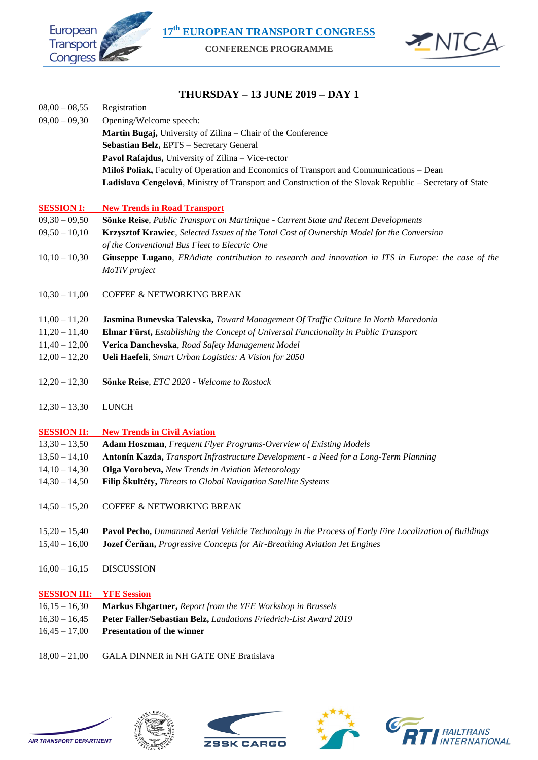**17th EUROPEAN TRANSPORT CONGRESS**



**CONFERENCE PROGRAMME**



## **THURSDAY – 13 JUNE 2019 – DAY 1**

| $08,00 - 08,55$                 | Registration                                                                                                         |
|---------------------------------|----------------------------------------------------------------------------------------------------------------------|
| $09,00 - 09,30$                 | Opening/Welcome speech:                                                                                              |
|                                 | Martin Bugaj, University of Zilina - Chair of the Conference                                                         |
|                                 | Sebastian Belz, EPTS - Secretary General                                                                             |
|                                 | Pavol Rafajdus, University of Zilina - Vice-rector                                                                   |
|                                 | Miloš Poliak, Faculty of Operation and Economics of Transport and Communications - Dean                              |
|                                 | Ladislava Cengelová, Ministry of Transport and Construction of the Slovak Republic - Secretary of State              |
| <b>SESSION I:</b>               | <b>New Trends in Road Transport</b>                                                                                  |
| $09,30 - 09,50$                 | Sönke Reise, Public Transport on Martinique - Current State and Recent Developments                                  |
| $09,50 - 10,10$                 | Krzysztof Krawiec, Selected Issues of the Total Cost of Ownership Model for the Conversion                           |
|                                 | of the Conventional Bus Fleet to Electric One                                                                        |
| $10,10 - 10,30$                 | Giuseppe Lugano, ERAdiate contribution to research and innovation in ITS in Europe: the case of the<br>MoTiV project |
| $10,30 - 11,00$                 | COFFEE & NETWORKING BREAK                                                                                            |
| $11,00 - 11,20$                 | Jasmina Bunevska Talevska, Toward Management Of Traffic Culture In North Macedonia                                   |
| $11,20 - 11,40$                 | Elmar Fürst, Establishing the Concept of Universal Functionality in Public Transport                                 |
| $11,40 - 12,00$                 | Verica Danchevska, Road Safety Management Model                                                                      |
| $12,00 - 12,20$                 | Ueli Haefeli, Smart Urban Logistics: A Vision for 2050                                                               |
| $12,20 - 12,30$                 | Sönke Reise, ETC 2020 - Welcome to Rostock                                                                           |
| $12,30 - 13,30$                 | <b>LUNCH</b>                                                                                                         |
| <b>SESSION II:</b>              | <b>New Trends in Civil Aviation</b>                                                                                  |
| $13,30 - 13,50$                 | Adam Hoszman, Frequent Flyer Programs-Overview of Existing Models                                                    |
| $13,50 - 14,10$                 | Antonín Kazda, Transport Infrastructure Development - a Need for a Long-Term Planning                                |
| $14,10 - 14,30$                 | Olga Vorobeva, New Trends in Aviation Meteorology                                                                    |
| $14,30 - 14,50$                 | Filip Skultéty, Threats to Global Navigation Satellite Systems                                                       |
|                                 | 14,50 - 15,20 COFFEE & NETWORKING BREAK                                                                              |
| $15,20 - 15,40$                 | Pavol Pecho, Unmanned Aerial Vehicle Technology in the Process of Early Fire Localization of Buildings               |
| $15,40 - 16,00$                 | Jozef Čerňan, Progressive Concepts for Air-Breathing Aviation Jet Engines                                            |
| $16,00 - 16,15$                 | <b>DISCUSSION</b>                                                                                                    |
| <b>SESSION III: YFE Session</b> |                                                                                                                      |

- 16,15 16,30 **Markus Ehgartner,** *Report from the YFE Workshop in Brussels*
- 16,30 16,45 **Peter Faller/Sebastian Belz,** *Laudations Friedrich-List Award 2019*
- 16,45 17,00 **Presentation of the winner**
- 18,00 21,00 GALA DINNER in NH GATE ONE Bratislava